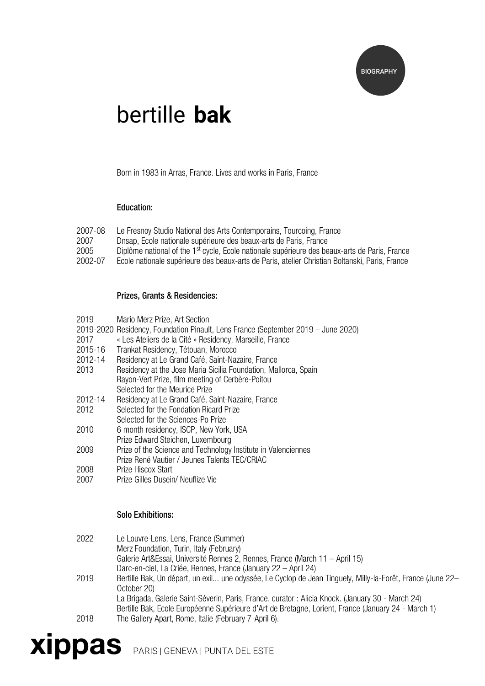

# bertille **bak**

Born in 1983 in Arras, France. Lives and works in Paris, France

#### Education:

| 2007-08 | Le Fresnoy Studio National des Arts Contemporains, Tourcoing, France                                      |
|---------|-----------------------------------------------------------------------------------------------------------|
| 2007    | Dnsap, Ecole nationale supérieure des beaux-arts de Paris, France                                         |
| 2005    | Diplôme national of the 1 <sup>st</sup> cycle, Ecole nationale supérieure des beaux-arts de Paris, France |
| 2002-07 | Ecole nationale supérieure des beaux-arts de Paris, atelier Christian Boltanski, Paris, France            |

#### Prizes, Grants & Residencies:

- 2019 Mario Merz Prize, Art Section
- 2019-2020 Residency, Foundation Pinault, Lens France (September 2019 June 2020)
- 2017 « Les Ateliers de la Cité » Residency, Marseille, France
- 2015-16 Trankat Residency, Tétouan, Morocco
- 2012-14 Residency at Le Grand Café, Saint-Nazaire, France
- Residency at the Jose Maria Sicilia Foundation, Mallorca, Spain Rayon-Vert Prize, film meeting of Cerbère-Poitou Selected for the Meurice Prize
- 2012-14 Residency at Le Grand Café, Saint-Nazaire, France
- 2012 Selected for the Fondation Ricard Prize
- Selected for the Sciences-Po Prize
- 2010 6 month residency, ISCP, New York, USA Prize Edward Steichen, Luxembourg
- 2009 Prize of the Science and Technology Institute in Valenciennes Prize René Vautier / Jeunes Talents TEC/CRIAC
- 2008 Prize Hiscox Start
- 2007 Prize Gilles Dusein/ Neuflize Vie

#### Solo Exhibitions:

2022 Le Louvre-Lens, Lens, France (Summer) Merz Foundation, Turin, Italy (February) Galerie Art&Essai, Université Rennes 2, Rennes, France (March 11 – April 15) Darc-en-ciel, La Criée, Rennes, France (January 22 – April 24) 2019 Bertille Bak, Un départ, un exil... une odyssée, Le Cyclop de Jean Tinguely, Milly-la-Forêt, France (June 22– October 20) La Brigada, Galerie Saint-Séverin, Paris, France. curator : Alicia Knock. (January 30 - March 24) Bertille Bak, Ecole Européenne Supérieure d'Art de Bretagne, Lorient, France (January 24 - March 1) 2018 The Gallery Apart, Rome, Italie (February 7-April 6).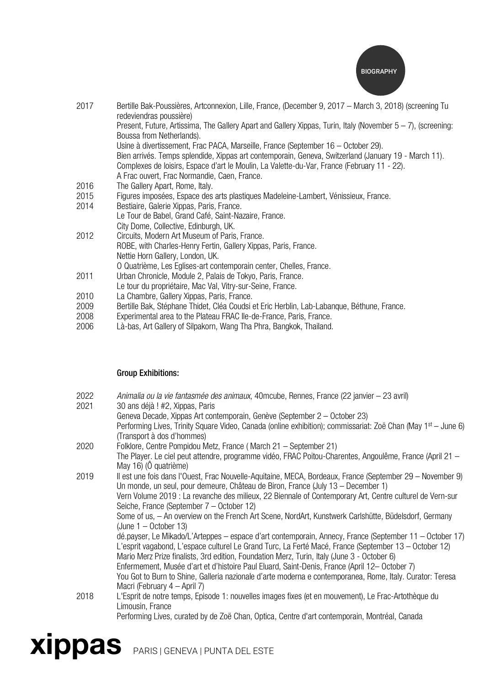

| 2017 | Bertille Bak-Poussières, Artconnexion, Lille, France, (December 9, 2017 – March 3, 2018) (screening Tu<br>redeviendras poussière) |
|------|-----------------------------------------------------------------------------------------------------------------------------------|
|      | Present, Future, Artissima, The Gallery Apart and Gallery Xippas, Turin, Italy (November $5-7$ ), (screening:                     |
|      | Boussa from Netherlands).                                                                                                         |
|      | Usine à divertissement, Frac PACA, Marseille, France (September 16 – October 29).                                                 |
|      | Bien arrivés. Temps splendide, Xippas art contemporain, Geneva, Switzerland (January 19 - March 11).                              |
|      | Complexes de loisirs, Espace d'art le Moulin, La Valette-du-Var, France (February 11 - 22).                                       |
|      | A Frac ouvert, Frac Normandie, Caen, France.                                                                                      |
| 2016 | The Gallery Apart, Rome, Italy.                                                                                                   |
| 2015 | Figures imposées, Espace des arts plastiques Madeleine-Lambert, Vénissieux, France.                                               |
| 2014 | Bestiaire, Galerie Xippas, Paris, France.                                                                                         |
|      | Le Tour de Babel, Grand Café, Saint-Nazaire, France.                                                                              |
|      | City Dome, Collective, Edinburgh, UK.                                                                                             |
| 2012 | Circuits, Modern Art Museum of Paris, France.                                                                                     |
|      | ROBE, with Charles-Henry Fertin, Gallery Xippas, Paris, France.                                                                   |
|      | Nettie Horn Gallery, London, UK.                                                                                                  |
|      | O Quatrième, Les Eglises-art contemporain center, Chelles, France.                                                                |
| 2011 | Urban Chronicle, Module 2, Palais de Tokyo, Paris, France.                                                                        |
|      | Le tour du propriétaire, Mac Val, Vitry-sur-Seine, France.                                                                        |
| 2010 | La Chambre, Gallery Xippas, Paris, France.                                                                                        |
| 2009 | Bertille Bak, Stéphane Thidet, Cléa Coudsi et Eric Herblin, Lab-Labanque, Béthune, France.                                        |
| 2008 | Experimental area to the Plateau FRAC IIe-de-France, Paris, France.                                                               |
| 2006 | Là-bas, Art Gallery of Silpakorn, Wang Tha Phra, Bangkok, Thailand.                                                               |
|      |                                                                                                                                   |

### Group Exhibitions:

| 2022 | Animalia ou la vie fantasmée des animaux, 40 mcube, Rennes, France (22 janvier - 23 avril) |  |  |
|------|--------------------------------------------------------------------------------------------|--|--|
|      |                                                                                            |  |  |

2021 30 ans déjà ! #2, Xippas, Paris

|      | Geneva Decade, Xippas Art contemporain, Genève (September 2 – October 23)                                                 |
|------|---------------------------------------------------------------------------------------------------------------------------|
|      | Performing Lives, Trinity Square Video, Canada (online exhibition); commissariat: Zoë Chan (May 1 <sup>st</sup> – June 6) |
|      | (Transport à dos d'hommes)                                                                                                |
| 2020 | Folklore, Centre Pompidou Metz, France (March 21 – September 21)                                                          |

The Player. Le ciel peut attendre, programme vidéo, FRAC Poitou-Charentes, Angoulême, France (April 21 – May 16) (Ô quatrième)

2019 Il est une fois dans l'Ouest, Frac Nouvelle-Aquitaine, MECA, Bordeaux, France (September 29 – November 9) Un monde, un seul, pour demeure, Château de Biron, France (July 13 – December 1) Vern Volume 2019 : La revanche des milieux, 22 Biennale of Contemporary Art, Centre culturel de Vern-sur Seiche, France (September 7 – October 12) Some of us, – An overview on the French Art Scene, NordArt, Kunstwerk Carlshütte, Büdelsdorf, Germany (June 1 – October 13) dé.payser, Le Mikado/L'Arteppes – espace d'art contemporain, Annecy, France (September 11 – October 17) L'esprit vagabond, L'espace culturel Le Grand Turc, La Ferté Macé, France (September 13 – October 12) Mario Merz Prize finalists, 3rd edition, Foundation Merz, Turin, Italy (June 3 - October 6) Enfermement, Musée d'art et d'histoire Paul Eluard, Saint-Denis, France (April 12– October 7) You Got to Burn to Shine, Galleria nazionale d'arte moderna e contemporanea, Rome, Italy. Curator: Teresa Macri (February 4 – April 7) 2018 L'Esprit de notre temps, Episode 1: nouvelles images fixes (et en mouvement), Le Frac-Artothèque du Limousin, France

Performing Lives, curated by de Zoë Chan, Optica, Centre d'art contemporain, Montréal, Canada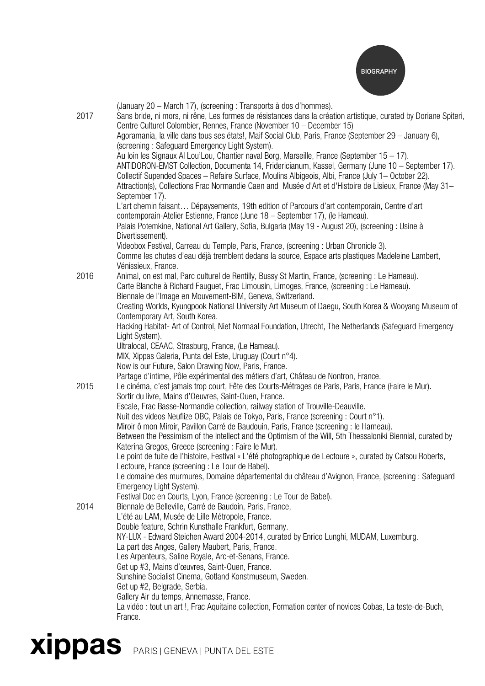

| 2017 | (January 20 - March 17), (screening : Transports à dos d'hommes).<br>Sans bride, ni mors, ni rêne, Les formes de résistances dans la création artistique, curated by Doriane Spiteri,         |
|------|-----------------------------------------------------------------------------------------------------------------------------------------------------------------------------------------------|
|      | Centre Culturel Colombier, Rennes, France (November 10 – December 15)<br>Agoramania, la ville dans tous ses états!, Maif Social Club, Paris, France (September 29 - January 6),               |
|      | (screening: Safeguard Emergency Light System).<br>Au loin les Signaux Al Lou'Lou, Chantier naval Borg, Marseille, France (September 15 - 17).                                                 |
|      | ANTIDORON-EMST Collection, Documenta 14, Fridericianum, Kassel, Germany (June 10 - September 17).                                                                                             |
|      | Collectif Supended Spaces - Refaire Surface, Moulins Albigeois, Albi, France (July 1 - October 22).                                                                                           |
|      | Attraction(s), Collections Frac Normandie Caen and Musée d'Art et d'Histoire de Lisieux, France (May 31-                                                                                      |
|      | September 17).                                                                                                                                                                                |
|      | L'art chemin faisant Dépaysements, 19th edition of Parcours d'art contemporain, Centre d'art                                                                                                  |
|      | contemporain-Atelier Estienne, France (June 18 - September 17), (le Hameau).                                                                                                                  |
|      | Palais Potemkine, National Art Gallery, Sofia, Bulgaria (May 19 - August 20), (screening : Usine à                                                                                            |
|      | Divertissement).                                                                                                                                                                              |
|      | Videobox Festival, Carreau du Temple, Paris, France, (screening : Urban Chronicle 3).                                                                                                         |
|      | Comme les chutes d'eau déjà tremblent dedans la source, Espace arts plastiques Madeleine Lambert,                                                                                             |
|      | Vénissieux, France.                                                                                                                                                                           |
| 2016 | Animal, on est mal, Parc culturel de Rentilly, Bussy St Martin, France, (screening : Le Hameau).<br>Carte Blanche à Richard Fauguet, Frac Limousin, Limoges, France, (screening : Le Hameau). |
|      | Biennale de l'Image en Mouvement-BIM, Geneva, Switzerland.                                                                                                                                    |
|      | Creating Worlds, Kyungpook National University Art Museum of Daegu, South Korea & Wooyang Museum of                                                                                           |
|      | Contemporary Art, South Korea.                                                                                                                                                                |
|      | Hacking Habitat- Art of Control, Niet Normaal Foundation, Utrecht, The Netherlands (Safeguard Emergency                                                                                       |
|      | Light System).                                                                                                                                                                                |
|      | Ultralocal, CEAAC, Strasburg, France, (Le Hameau).                                                                                                                                            |
|      | MIX, Xippas Galeria, Punta del Este, Uruguay (Court n°4).                                                                                                                                     |
|      | Now is our Future, Salon Drawing Now, Paris, France.                                                                                                                                          |
| 2015 | Partage d'intime, Pôle expérimental des métiers d'art, Château de Nontron, France.                                                                                                            |
|      | Le cinéma, c'est jamais trop court, Fête des Courts-Métrages de Paris, Paris, France (Faire le Mur).<br>Sortir du livre, Mains d'Oeuvres, Saint-Ouen, France.                                 |
|      | Escale, Frac Basse-Normandie collection, railway station of Trouville-Deauville.                                                                                                              |
|      | Nuit des videos Neuflize OBC, Palais de Tokyo, Paris, France (screening : Court n°1).                                                                                                         |
|      | Miroir ô mon Miroir, Pavillon Carré de Baudouin, Paris, France (screening : le Hameau).                                                                                                       |
|      | Between the Pessimism of the Intellect and the Optimism of the Will, 5th Thessaloniki Biennial, curated by                                                                                    |
|      | Katerina Gregos, Greece (screening : Faire le Mur).                                                                                                                                           |
|      | Le point de fuite de l'histoire, Festival « L'été photographique de Lectoure », curated by Catsou Roberts,                                                                                    |
|      | Lectoure, France (screening : Le Tour de Babel).                                                                                                                                              |
|      | Le domaine des murmures, Domaine départemental du château d'Avignon, France, (screening : Safeguard                                                                                           |
|      | Emergency Light System).<br>Festival Doc en Courts, Lyon, France (screening : Le Tour de Babel).                                                                                              |
| 2014 | Biennale de Belleville, Carré de Baudoin, Paris, France,                                                                                                                                      |
|      | L'été au LAM, Musée de Lille Métropole, France.                                                                                                                                               |
|      | Double feature, Schrin Kunsthalle Frankfurt, Germany.                                                                                                                                         |
|      | NY-LUX - Edward Steichen Award 2004-2014, curated by Enrico Lunghi, MUDAM, Luxemburg.                                                                                                         |
|      | La part des Anges, Gallery Maubert, Paris, France.                                                                                                                                            |
|      | Les Arpenteurs, Saline Royale, Arc-et-Senans, France.                                                                                                                                         |
|      | Get up #3, Mains d'œuvres, Saint-Ouen, France.                                                                                                                                                |
|      | Sunshine Socialist Cinema, Gotland Konstmuseum, Sweden.                                                                                                                                       |
|      | Get up #2, Belgrade, Serbia.<br>Gallery Air du temps, Annemasse, France.                                                                                                                      |
|      | La vidéo : tout un art !, Frac Aquitaine collection, Formation center of novices Cobas, La teste-de-Buch,                                                                                     |
|      | France.                                                                                                                                                                                       |
|      |                                                                                                                                                                                               |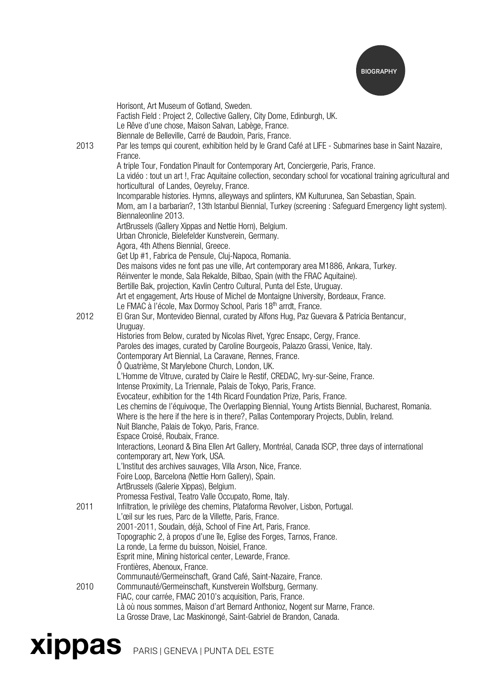

| 2013 | Horisont, Art Museum of Gotland, Sweden.<br>Factish Field: Project 2, Collective Gallery, City Dome, Edinburgh, UK.<br>Le Rêve d'une chose, Maison Salvan, Labège, France.<br>Biennale de Belleville, Carré de Baudoin, Paris, France.<br>Par les temps qui courent, exhibition held by le Grand Café at LIFE - Submarines base in Saint Nazaire,<br>France.                                                                                               |
|------|------------------------------------------------------------------------------------------------------------------------------------------------------------------------------------------------------------------------------------------------------------------------------------------------------------------------------------------------------------------------------------------------------------------------------------------------------------|
|      | A triple Tour, Fondation Pinault for Contemporary Art, Conciergerie, Paris, France.<br>La vidéo: tout un art!, Frac Aquitaine collection, secondary school for vocational training agricultural and<br>horticultural of Landes, Oeyreluy, France.<br>Incomparable histories. Hymns, alleyways and splinters, KM Kulturunea, San Sebastian, Spain.<br>Mom, am I a barbarian?, 13th Istanbul Biennial, Turkey (screening: Safeguard Emergency light system). |
|      | Biennaleonline 2013.<br>ArtBrussels (Gallery Xippas and Nettie Horn), Belgium.<br>Urban Chronicle, Bielefelder Kunstverein, Germany.<br>Agora, 4th Athens Biennial, Greece.<br>Get Up #1, Fabrica de Pensule, Cluj-Napoca, Romania.                                                                                                                                                                                                                        |
|      | Des maisons vides ne font pas une ville, Art contemporary area M1886, Ankara, Turkey.<br>Réinventer le monde, Sala Rekalde, Bilbao, Spain (with the FRAC Aquitaine).<br>Bertille Bak, projection, Kavlin Centro Cultural, Punta del Este, Uruguay.<br>Art et engagement, Arts House of Michel de Montaigne University, Bordeaux, France.<br>Le FMAC à l'école, Max Dormoy School, Paris 18 <sup>th</sup> arrdt, France.                                    |
| 2012 | El Gran Sur, Montevideo Biennal, curated by Alfons Hug, Paz Guevara & Patricia Bentancur,<br>Uruguay.<br>Histories from Below, curated by Nicolas Rivet, Ygrec Ensapc, Cergy, France.                                                                                                                                                                                                                                                                      |
|      | Paroles des images, curated by Caroline Bourgeois, Palazzo Grassi, Venice, Italy.<br>Contemporary Art Biennial, La Caravane, Rennes, France.<br>O Quatrième, St Marylebone Church, London, UK.<br>L'Homme de Vitruve, curated by Claire le Restif, CREDAC, Ivry-sur-Seine, France.                                                                                                                                                                         |
|      | Intense Proximity, La Triennale, Palais de Tokyo, Paris, France.<br>Evocateur, exhibition for the 14th Ricard Foundation Prize, Paris, France.<br>Les chemins de l'équivoque, The Overlapping Biennial, Young Artists Biennial, Bucharest, Romania.<br>Where is the here if the here is in there?, Pallas Contemporary Projects, Dublin, Ireland.<br>Nuit Blanche, Palais de Tokyo, Paris, France.                                                         |
|      | Espace Croisé, Roubaix, France.<br>Interactions, Leonard & Bina Ellen Art Gallery, Montréal, Canada ISCP, three days of international<br>contemporary art, New York, USA.                                                                                                                                                                                                                                                                                  |
|      | L'Institut des archives sauvages, Villa Arson, Nice, France.<br>Foire Loop, Barcelona (Nettie Horn Gallery), Spain.<br>ArtBrussels (Galerie Xippas), Belgium.<br>Promessa Festival, Teatro Valle Occupato, Rome, Italy.                                                                                                                                                                                                                                    |
| 2011 | Infiltration, le privilège des chemins, Plataforma Revolver, Lisbon, Portugal.<br>L'œil sur les rues, Parc de la Villette, Paris, France.<br>2001-2011, Soudain, déjà, School of Fine Art, Paris, France.<br>Topographic 2, à propos d'une île, Eglise des Forges, Tarnos, France.                                                                                                                                                                         |
|      | La ronde, La ferme du buisson, Noisiel, France.<br>Esprit mine, Mining historical center, Lewarde, France.<br>Frontières, Abenoux, France.<br>Communauté/Germeinschaft, Grand Café, Saint-Nazaire, France.                                                                                                                                                                                                                                                 |
| 2010 | Communauté/Germeinschaft, Kunstverein Wolfsburg, Germany.<br>FIAC, cour carrée, FMAC 2010's acquisition, Paris, France.<br>Là où nous sommes, Maison d'art Bernard Anthonioz, Nogent sur Marne, France.<br>La Grosse Drave, Lac Maskinongé, Saint-Gabriel de Brandon, Canada.                                                                                                                                                                              |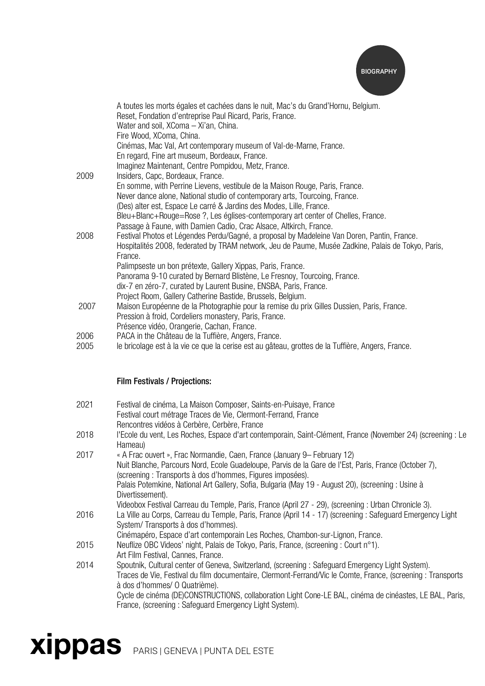

|              | A toutes les morts égales et cachées dans le nuit, Mac's du Grand'Hornu, Belgium.<br>Reset, Fondation d'entreprise Paul Ricard, Paris, France.          |
|--------------|---------------------------------------------------------------------------------------------------------------------------------------------------------|
|              | Water and soil, XComa - Xi'an, China.                                                                                                                   |
|              | Fire Wood, XComa, China.                                                                                                                                |
|              | Cinémas, Mac Val, Art contemporary museum of Val-de-Marne, France.                                                                                      |
|              | En regard, Fine art museum, Bordeaux, France.                                                                                                           |
|              | Imaginez Maintenant, Centre Pompidou, Metz, France.                                                                                                     |
| 2009         | Insiders, Capc, Bordeaux, France.                                                                                                                       |
|              | En somme, with Perrine Lievens, vestibule de la Maison Rouge, Paris, France.                                                                            |
|              | Never dance alone, National studio of contemporary arts, Tourcoing, France.                                                                             |
|              | (Des) alter est, Espace Le carré & Jardins des Modes, Lille, France.                                                                                    |
|              | Bleu+Blanc+Rouge=Rose?, Les églises-contemporary art center of Chelles, France.                                                                         |
|              | Passage à Faune, with Damien Cadio, Crac Alsace, Altkirch, France.                                                                                      |
| 2008         | Festival Photos et Légendes Perdu/Gagné, a proposal by Madeleine Van Doren, Pantin, France.                                                             |
|              | Hospitalités 2008, federated by TRAM network, Jeu de Paume, Musée Zadkine, Palais de Tokyo, Paris,                                                      |
|              | France.                                                                                                                                                 |
|              | Palimpseste un bon prétexte, Gallery Xippas, Paris, France.                                                                                             |
|              | Panorama 9-10 curated by Bernard Blistène, Le Fresnoy, Tourcoing, France.                                                                               |
|              | dix-7 en zéro-7, curated by Laurent Busine, ENSBA, Paris, France.                                                                                       |
|              | Project Room, Gallery Catherine Bastide, Brussels, Belgium.                                                                                             |
| 2007         | Maison Européenne de la Photographie pour la remise du prix Gilles Dussien, Paris, France.                                                              |
|              | Pression à froid, Cordeliers monastery, Paris, France.                                                                                                  |
|              | Présence vidéo, Orangerie, Cachan, France.                                                                                                              |
| 2006<br>2005 | PACA in the Château de la Tuffière, Angers, France.<br>le bricolage est à la vie ce que la cerise est au gâteau, grottes de la Tuffière, Angers, France |
|              |                                                                                                                                                         |

#### 2005 le bricolage est à la vie ce que la cerise est au gâteau, grottes de la Tuffière, Angers, France.

#### Film Festivals / Projections:

- 2021 Festival de cinéma, La Maison Composer, Saints-en-Puisaye, France Festival court métrage Traces de Vie, Clermont-Ferrand, France Rencontres vidéos à Cerbère, Cerbère, France
- 2018 l'Ecole du vent, Les Roches, Espace d'art contemporain, Saint-Clément, France (November 24) (screening : Le Hameau)
- 2017 « A Frac ouvert », Frac Normandie, Caen, France (January 9– February 12) Nuit Blanche, Parcours Nord, Ecole Guadeloupe, Parvis de la Gare de l'Est, Paris, France (October 7), (screening : Transports à dos d'hommes, Figures imposées). Palais Potemkine, National Art Gallery, Sofia, Bulgaria (May 19 - August 20), (screening : Usine à Divertissement). Videobox Festival Carreau du Temple, Paris, France (April 27 - 29), (screening : Urban Chronicle 3). 2016 La Ville au Corps, Carreau du Temple, Paris, France (April 14 - 17) (screening : Safeguard Emergency Light System/ Transports à dos d'hommes).
- Cinémapéro, Espace d'art contemporain Les Roches, Chambon-sur-Lignon, France. 2015 Neuflize OBC Videos' night, Palais de Tokyo, Paris, France, (screening : Court n°1). Art Film Festival, Cannes, France.
- 2014 Spoutnik, Cultural center of Geneva, Switzerland, (screening : Safeguard Emergency Light System). Traces de Vie, Festival du film documentaire, Clermont-Ferrand/Vic le Comte, France, (screening : Transports à dos d'hommes/ O Quatrième). Cycle de cinéma (DE)CONSTRUCTIONS, collaboration Light Cone-LE BAL, cinéma de cinéastes, LE BAL, Paris, France, (screening : Safeguard Emergency Light System).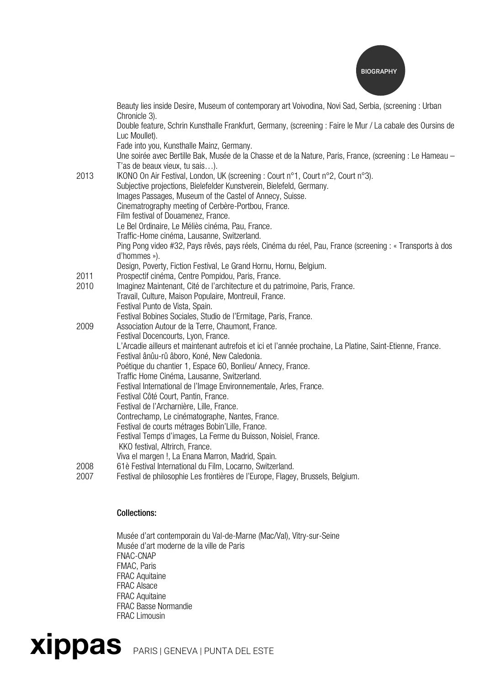

|      | Beauty lies inside Desire, Museum of contemporary art Voivodina, Novi Sad, Serbia, (screening : Urban<br>Chronicle 3).                      |
|------|---------------------------------------------------------------------------------------------------------------------------------------------|
|      | Double feature, Schrin Kunsthalle Frankfurt, Germany, (screening : Faire le Mur / La cabale des Oursins de                                  |
|      | Luc Moullet).                                                                                                                               |
|      | Fade into you, Kunsthalle Mainz, Germany.                                                                                                   |
|      | Une soirée avec Bertille Bak, Musée de la Chasse et de la Nature, Paris, France, (screening : Le Hameau -<br>T'as de beaux vieux, tu sais). |
| 2013 | IKONO On Air Festival, London, UK (screening: Court n°1, Court n°2, Court n°3).                                                             |
|      | Subjective projections, Bielefelder Kunstverein, Bielefeld, Germany.                                                                        |
|      | Images Passages, Museum of the Castel of Annecy, Suisse.                                                                                    |
|      | Cinematrography meeting of Cerbère-Portbou, France.                                                                                         |
|      | Film festival of Douamenez, France.                                                                                                         |
|      | Le Bel Ordinaire, Le Méliès cinéma, Pau, France.                                                                                            |
|      | Traffic-Home cinéma, Lausanne, Switzerland.                                                                                                 |
|      | Ping Pong video #32, Pays rêvés, pays réels, Cinéma du réel, Pau, France (screening : « Transports à dos<br>d'hommes »).                    |
|      | Design, Poverty, Fiction Festival, Le Grand Hornu, Hornu, Belgium.                                                                          |
| 2011 | Prospectif cinéma, Centre Pompidou, Paris, France.                                                                                          |
| 2010 | Imaginez Maintenant, Cité de l'architecture et du patrimoine, Paris, France.                                                                |
|      | Travail, Culture, Maison Populaire, Montreuil, France.                                                                                      |
|      | Festival Punto de Vista, Spain.                                                                                                             |
|      | Festival Bobines Sociales, Studio de l'Ermitage, Paris, France.                                                                             |
| 2009 | Association Autour de la Terre, Chaumont, France.                                                                                           |
|      | Festival Docencourts, Lyon, France.                                                                                                         |
|      | L'Arcadie ailleurs et maintenant autrefois et ici et l'année prochaine, La Platine, Saint-Etienne, France.                                  |
|      | Festival ânûu-rû âboro, Koné, New Caledonia.                                                                                                |
|      | Poétique du chantier 1, Espace 60, Bonlieu/Annecy, France.                                                                                  |
|      | Traffic Home Cinéma, Lausanne, Switzerland.                                                                                                 |
|      | Festival International de l'Image Environnementale, Arles, France.                                                                          |
|      | Festival Côté Court, Pantin, France.                                                                                                        |
|      | Festival de l'Archarnière, Lille, France.                                                                                                   |
|      | Contrechamp, Le cinématographe, Nantes, France.                                                                                             |
|      | Festival de courts métrages Bobin'Lille, France.                                                                                            |
|      | Festival Temps d'images, La Ferme du Buisson, Noisiel, France.                                                                              |
|      | KKO festival, Altrirch, France.                                                                                                             |
|      | Viva el margen !, La Enana Marron, Madrid, Spain.                                                                                           |
| 2008 | 61è Festival International du Film, Locarno, Switzerland.                                                                                   |
| 2007 | Festival de philosophie Les frontières de l'Europe, Flagey, Brussels, Belgium.                                                              |

## Collections:

Musée d'art contemporain du Val-de-Marne (Mac/Val), Vitry-sur-Seine Musée d'art moderne de la ville de Paris FNAC-CNAP FMAC, Paris FRAC Aquitaine FRAC Alsace FRAC Aquitaine FRAC Basse Normandie FRAC Limousin